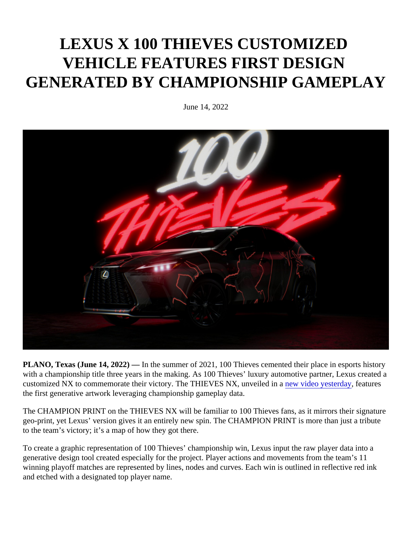## LEXUS X 100 THIEVES CUSTOMIZED VEHICLE FEATURES FIRST DESIGN GENERATED BY CHAMPIONSHIP GAMEPLAY

June 14, 2022

PLANO, Texas (June 14, 2022) In the summer of 2021, 100 Thieves cemented their place in esports history with a championship title three years in the making. As 100 Thieves' luxury automotive partner, Lexus created customized NX to commemorate their victory. The THIEVES NX[,](https://twitter.com/100Thieves/status/1536423544086638592?cxt=HHwWgMClndbEvNIqAAAA) unveiled in avideo yesterday eatures the first generative artwork leveraging championship gameplay data.

The CHAMPION PRINT on the THIEVES NX will be familiar to 100 Thieves fans, as it mirrors their signature geo-print, yet Lexus' version gives it an entirely new spin. The CHAMPION PRINT is more than just a tribute to the team's victory; it's a map of how they got there.

To create a graphic representation of 100 Thieves' championship win, Lexus input the raw player data into a generative design tool created especially for the project. Player actions and movements from the team's 11 winning playoff matches are represented by lines, nodes and curves. Each win is outlined in reflective red ink and etched with a designated top player name.